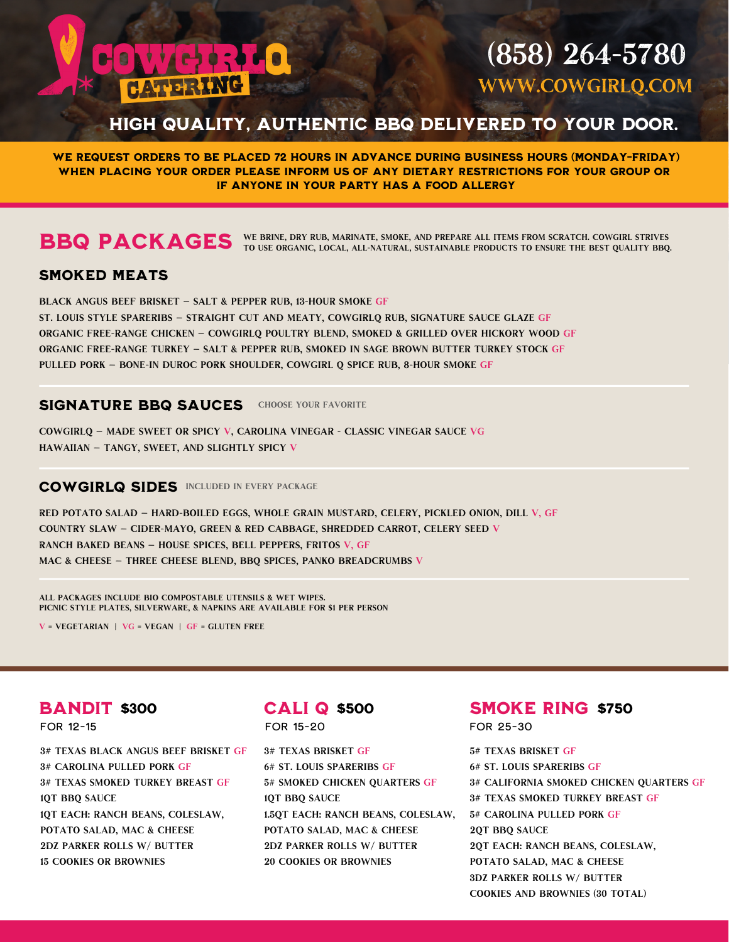# $\left( \frac{1}{2} \right)$  of  $\left( \frac{1}{2} \right)$ **BAY HAUVERING**

# (858) 264-5780 WWW.COWGIRLO.COM

# HIGH QUALITY, AUTHENTIC BBQ DELIVERED TO YOUR DOOR.

we request orders to be placed 72 hours in advance during business hours (Monday-Friday) When Placing Your Order PLEASE INFORM US OF ANY DIETARY restrictions for your group or if anyone in your party has a food allergy

We brine, dry rub, marinate, smoke, and prepare all items from scratch. Cowgirl strives BBQ PACKAGES WE BRINE, DRY RUB, MARINATE, SMOKE, AND PREPARE ALL ITEMS FROM SCRATCH. COWGIRL STRIVES TO USE ORGANIC, LOCAL, ALL-NATURAL, SUSTAINABLE PRODUCTS TO ENSURE THE BEST QUALITY BBQ.

# SMOKED MEATS

BLACK ANGUS BEEF BRISKET — salt & pepper rub, 13-hour smoke GF ST. LOUIS STYLE SPARERIBS — straight cut and meaty, CowgirlQ rub, signature sauce glaze GF ORGANIC FREE-RANGE CHICKEN — CowgirlQ poultry blend, smoked & grilled over hickory wood GF ORGANIC FREE-RANGE TURKEY — salt & pepper rub, smoked in sage brown butter turkey stock GF PULLED PORK — bone-in duroc pork shoulder, Cowgirl Q spice rub, 8-hour smoke GF

### SIGNATURE BBQ SAUCES CHOOSE YOUR FAVORITE

COWGIRLQ — made Sweet or Spicy V, CAROLINA VINEGAR - classic vinegar sauce VG HAWAIIAN — tangy, sweet, and slightly spicy V

# COWGIRLQ SIDES INCLUDED IN EVERY PACKAGE

RED POTATO SALAD — hard-boiled eggs, whole grain mustard, celery, pickled onion, dill V, GF COUNTRY SLAW — cider-mayo, green & red cabbage, shredded carrot, celery seed V RANCH BAKED BEANS — house spices, bell peppers, Fritos V, GF MAC & CHEESE — three cheese blend, BBQ spices, panko breadcrumbs V

All packages include bio compostable utensils & wet wipes. Picnic style plates, silverware, & napkins are available for \$1 per person

 $V = VEGETARIAN$  |  $VG = VEGAN$  |  $GF = GLUTEN$  FREE

3# Texas BLACK ANGUS BEEF BRISKET GF 3# Carolina Pulled Pork GF 3# Texas Smoked Turkey Breast GF 1QT BBQ Sauce 1QT Each: Ranch Beans, Coleslaw, POTATO SALAD, MAC & CHEESE 2DZ Parker Rolls w/ Butter 15 Cookies or Brownies

# for 12-15 for 15-20 for 25-30

3# Texas Brisket GF 6# St. Louis Spareribs GF 5# Smoked Chicken Quarters GF 1QT BBQ Sauce 1.5QT Each: Ranch Beans, Coleslaw, POTATO SALAD, MAC & CHEESE 2DZ Parker Rolls w/ Butter 20 Cookies or Brownies

# **BANDIT \$300 600 CALI Q \$500 5MOKE RING \$750**

5# Texas Brisket GF 6# St. Louis Spareribs GF 3# California Smoked Chicken Quarters GF 3# Texas Smoked Turkey Breast GF 5# Carolina Pulled Pork GF 2QT BBQ Sauce 2QT Each: Ranch Beans, Coleslaw, POTATO SALAD, MAC & CHEESE 3DZ Parker Rolls w/ Butter Cookies and Brownies (30 total)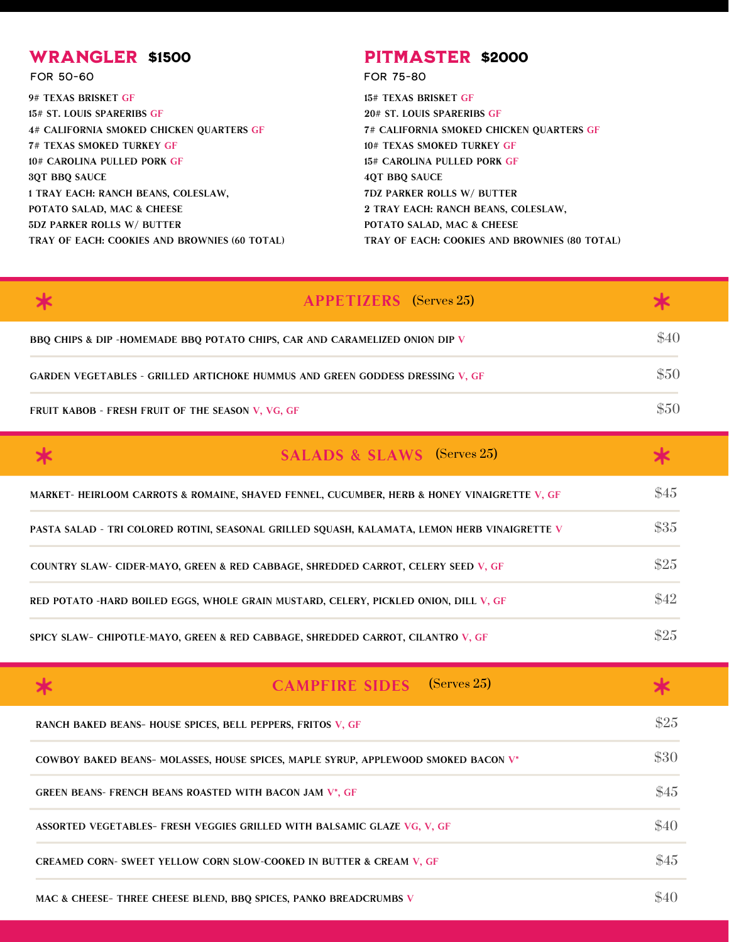# WRANGLER \$1500

for 50-60 for 75-80

9# Texas Brisket GF 15# St. Louis Spareribs GF 4# California Smoked Chicken Quarters GF 7# Texas Smoked Turkey GF 10# Carolina Pulled Pork GF 3QT BBQ Sauce 1 Tray Each: Ranch Beans, Coleslaw, POTATO SALAD, MAC & CHEESE 5DZ Parker Rolls w/ Butter Tray of Each: Cookies and Brownies (60 total)

# **PITMASTER \$2000**

15# Texas Brisket GF 20# St. Louis Spareribs GF 7# California Smoked Chicken Quarters GF 10# Texas Smoked Turkey GF 15# Carolina Pulled Pork GF 4QT BBQ Sauce 7DZ Parker Rolls w/ Butter 2 Tray Each: Ranch Beans, Coleslaw, POTATO SALAD, MAC & CHEESE Tray of Each: Cookies and Brownies (80 total)

|                                                                                      | <b>APPETIZERS</b> (Serves 25) |      |
|--------------------------------------------------------------------------------------|-------------------------------|------|
| BBQ CHIPS & DIP -HOMEMADE BBQ POTATO CHIPS, CAR AND CARAMELIZED ONION DIP V          |                               | \$40 |
| <b>GARDEN VEGETABLES - GRILLED ARTICHOKE HUMMUS AND GREEN GODDESS DRESSING V, GF</b> |                               | \$50 |
| FRUIT KABOB - FRESH FRUIT OF THE SEASON V, VG, GF                                    |                               | \$50 |

| <b>SALADS &amp; SLAWS</b> (Serves 25)                                                         |      |
|-----------------------------------------------------------------------------------------------|------|
| MARKET- HEIRLOOM CARROTS & ROMAINE, SHAVED FENNEL, CUCUMBER, HERB & HONEY VINAIGRETTE V, GF   | \$45 |
| PASTA SALAD - TRI COLORED ROTINI, SEASONAL GRILLED SOUASH, KALAMATA, LEMON HERB VINAIGRETTE V | \$35 |
| COUNTRY SLAW- CIDER-MAYO, GREEN & RED CABBAGE, SHREDDED CARROT, CELERY SEED V, GF             | \$25 |
| RED POTATO -HARD BOILED EGGS, WHOLE GRAIN MUSTARD, CELERY, PICKLED ONION, DILL V, GF          | \$42 |
| SPICY SLAW- CHIPOTLE-MAYO, GREEN & RED CABBAGE, SHREDDED CARROT, CILANTRO V, GF               | \$25 |

|                                                                | <b>CAMPFIRE SIDES</b> (Serves 25)                                                  |      |
|----------------------------------------------------------------|------------------------------------------------------------------------------------|------|
| RANCH BAKED BEANS- HOUSE SPICES, BELL PEPPERS, FRITOS V, GF    |                                                                                    | \$25 |
|                                                                | COWBOY BAKED BEANS- MOLASSES, HOUSE SPICES, MAPLE SYRUP, APPLEWOOD SMOKED BACON V* | \$30 |
| <b>GREEN BEANS- FRENCH BEANS ROASTED WITH BACON JAM V*, GF</b> |                                                                                    | \$45 |
|                                                                | ASSORTED VEGETABLES- FRESH VEGGIES GRILLED WITH BALSAMIC GLAZE VG, V, GF           | \$40 |
|                                                                | <b>CREAMED CORN- SWEET YELLOW CORN SLOW-COOKED IN BUTTER &amp; CREAM V, GF</b>     | \$45 |
|                                                                | MAC & CHEESE-THREE CHEESE BLEND, BBO SPICES, PANKO BREADCRUMBS V                   |      |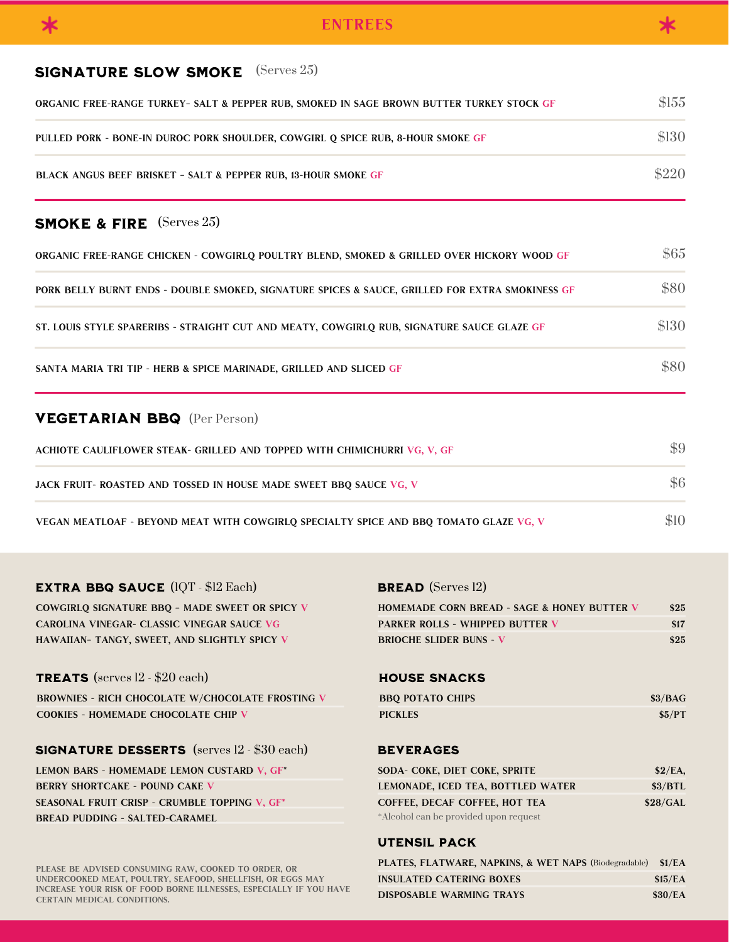# SIGNATURE SLOW SMOKE (Serves 25)

| ORGANIC FREE-RANGE TURKEY- SALT & PEPPER RUB, SMOKED IN SAGE BROWN BUTTER TURKEY STOCK GF | \$155 |
|-------------------------------------------------------------------------------------------|-------|
| PULLED PORK - BONE-IN DUROC PORK SHOULDER, COWGIRL O SPICE RUB, 8-HOUR SMOKE GF           | \$130 |
| <b>BLACK ANGUS BEEF BRISKET - SALT &amp; PEPPER RUB, 13-HOUR SMOKE GF</b>                 | \$220 |

# SMOKE & FIRE (Serves 25)

| ORGANIC FREE-RANGE CHICKEN - COWGIRLO POULTRY BLEND, SMOKED & GRILLED OVER HICKORY WOOD GF      | \$65  |
|-------------------------------------------------------------------------------------------------|-------|
| PORK BELLY BURNT ENDS - DOUBLE SMOKED, SIGNATURE SPICES & SAUCE, GRILLED FOR EXTRA SMOKINESS GF | \$80  |
| ST. LOUIS STYLE SPARERIBS - STRAIGHT CUT AND MEATY, COWGIRLQ RUB, SIGNATURE SAUCE GLAZE GF      | \$130 |
| SANTA MARIA TRI TIP - HERB & SPICE MARINADE, GRILLED AND SLICED GF                              | \$80  |

# VEGETARIAN BBQ (Per Person)

| ACHIOTE CAULIFLOWER STEAK- GRILLED AND TOPPED WITH CHIMICHURRI VG, V, GF              | \$9 |
|---------------------------------------------------------------------------------------|-----|
| JACK FRUIT- ROASTED AND TOSSED IN HOUSE MADE SWEET BBO SAUCE VG, V                    |     |
| VEGAN MEATLOAF - BEYOND MEAT WITH COWGIRLO SPECIALTY SPICE AND BBO TOMATO GLAZE VG, V |     |

### **EXTRA BBQ SAUCE (IQT - \$12 Each)**  $(QT - $12$  Each) **BREAD** (Serves 12)

COWGIRLQ SIGNATURE BBQ – made Sweet or Spicy V CAROLINA VINEGAR- classic vinegar sauce VG HAWAIIAN– tangy, sweet, and slightly spicy V

# TREATS (serves 12 - \$20 each)

BROWNIES - rich chocolate w/Chocolate frosting V COOKIES - homemade chocolate chip V

# SIGNATURE DESSERTS (serves 12 - \$30 each)

LEMON BARS - homemade lemon custard V, GF\* BERRY SHORTCAKE - pound cake V SEASONAL FRUIT CRISP - crumble topping V, GF\* BREAD PUDDING - salted-caramel

| <b>HOMEMADE CORN BREAD - SAGE &amp; HONEY BUTTER V</b> | \$25 |
|--------------------------------------------------------|------|
| <b>PARKER ROLLS - WHIPPED BUTTER V</b>                 | \$17 |
| <b>BRIOCHE SLIDER BUNS - V</b>                         | \$25 |

# HOUSE SNACKS

| <b>BBQ POTATO CHIPS</b> | \$3/BAG |
|-------------------------|---------|
| <b>PICKLES</b>          | \$5/PT  |

## **BEVERAGES**

| SODA- COKE, DIET COKE, SPRITE         | \$2/EA.  |
|---------------------------------------|----------|
| LEMONADE, ICED TEA, BOTTLED WATER     | \$3/BTL  |
| COFFEE, DECAF COFFEE, HOT TEA         | \$28/GAL |
| *Alcohol can be provided upon request |          |

# UTENSIL PACK

| PLATES, FLATWARE, NAPKINS, & WET NAPS (Biodegradable) \$1/EA |         |
|--------------------------------------------------------------|---------|
| INSULATED CATERING BOXES                                     | \$15/EA |
| DISPOSABLE WARMING TRAYS                                     | \$30/EA |

PLEASE BE ADVISED CONSUMING RAW, COOKED TO ORDER, OR undercooked meat, poultry, seafood, shellfish, or eggs may increase your risk of food borne illnesses, especially if you have certain medical conditions.